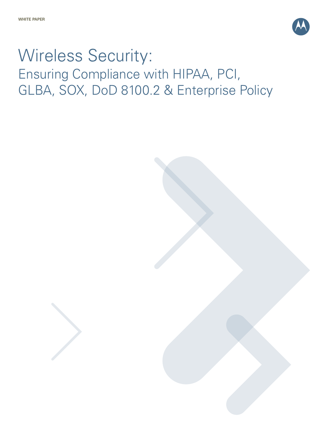

# Wireless Security: Ensuring Compliance with HIPAA, PCI, GLBA, SOX, DoD 8100.2 & Enterprise Policy

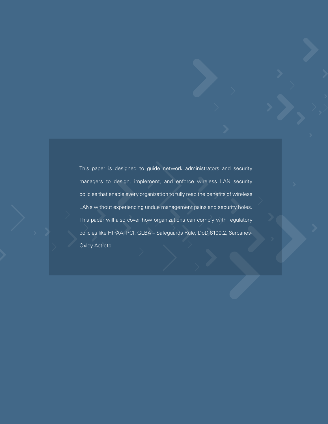This paper is designed to guide network administrators and security managers to design, implement, and enforce wireless LAN security policies that enable every organization to fully reap the benefits of wireless LANs without experiencing undue management pains and security holes. This paper will also cover how organizations can comply with regulatory policies like HIPAA, PCI, GLBA – Safeguards Rule, DoD 8100.2, Sarbanes-Oxley Act etc.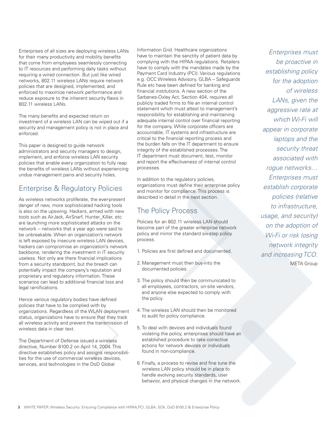Enterprises of all sizes are deploying wireless LANs for their many productivity and mobility benefits that come from employees seamlessly connecting to IT resources and performing daily tasks without requiring a wired connection. But just like wired networks, 802.11 wireless LANs require network policies that are designed, implemented, and enforced to maximize network performance and reduce exposure to the inherent security flaws in 802.11 wireless LANs.

The many benefits and expected return on investment of a wireless LAN can be wiped out if a security and management policy is not in place and enforced.

This paper is designed to guide network administrators and security managers to design, implement, and enforce wireless LAN security policies that enable every organization to fully reap the benefits of wireless LANs without experiencing undue management pains and security holes.

# Enterprise & Regulatory Policies

As wireless networks proliferate, the ever-present danger of new, more sophisticated hacking tools is also on the upswing. Hackers, armed with new tools such as AirJack, AirSnarf, Hunter\_Killer, etc are launching more sophisticated attacks on the network -- networks that a year ago were said to be unbreakable. When an organization's network is left exposed by insecure wireless LAN devices, hackers can compromise an organization's network backbone, rendering the investment in IT security useless. Not only are there financial implications from a security standpoint, but the breach can potentially impact the company's reputation and proprietary and regulatory information. These scenarios can lead to additional financial loss and legal ramifications.

Hence various regulatory bodies have defined policies that have to be complied with by organizations. Regardless of the WLAN deployment status, organizations have to ensure that they track all wireless activity and prevent the transmission of wireless data in clear text.

The Department of Defense issued a wireless directive, Number 8100.2 on April 14, 2004. This directive establishes policy and assigns responsibilities for the use of commercial wireless devices, services, and technologies in the DoD Global

Information Grid. Healthcare organizations have to maintain the sanctity of patient data by complying with the HIPAA regulations. Retailers have to comply with the mandates made by the Payment Card Industry (PCI). Various regulations e.g. OCC Wireless Advisory, GLBA – Safeguards Rule etc have been defined for banking and financial institutions. A new section of the Sarbanes-Oxley Act, Section 404, requires all publicly traded firms to file an internal control statement which must attest to management's responsibility for establishing and maintaining adequate internal control over financial reporting for the company. While corporate officers are accountable, IT systems and infrastructure are critical to the financial reporting process and the burden falls on the IT department to ensure integrity of the established processes. The IT department must document, test, monitor and report the effectiveness of internal control processes.

In addition to the regulatory policies, organizations must define their enterprise policy and monitor for compliance. This process is described in detail in the next section.

# The Policy Process

Policies for an 802.11 wireless LAN should become part of the greater enterprise network policy and mirror the standard six-step policy process.

- 1. Policies are first defined and documented.
- 2. Management must then buy-into the documented policies.
- 3. The policy should then be communicated to all employees, contractors, on-site vendors, and anyone else expected to comply with the policy.
- 4. The wireless LAN should then be monitored to audit for policy compliance.
- 5. To deal with devices and individuals found violating the policy, enterprises should have an established procedure to take corrective actions for network devices or individuals found in non-compliance.
- 6 Finally, a process to revise and fine tune the wireless LAN policy should be in place to handle evolving security standards, user behavior, and physical changes in the network.

Enterprises must be proactive in establishing policy for the adoption of wireless LANs, given the aggressive rate at which Wi-Fi will appear in corporate laptops and the security threat associated with rogue networks… Enterprises must establish corporate policies (relative to infrastructure, usage, and security) on the adoption of Wi-Fi or risk losing network integrity and increasing TCO. META Group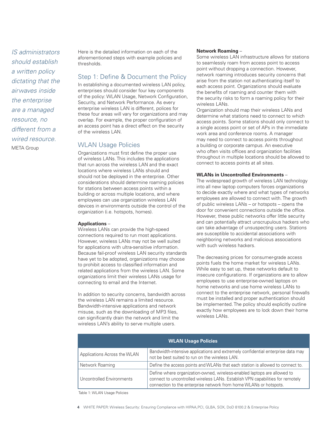IS administrators should establish a written policy dictating that the airwaves inside the enterprise are a managed resource, no different from a wired resource. META Group

Here is the detailed information on each of the aforementioned steps with example policies and thresholds.

## Step 1: Define & Document the Policy

In establishing a documented wireless LAN policy, enterprises should consider four key components of the policy: WLAN Usage, Network Configuration, Security, and Network Performance. As every enterprise wireless LAN is different, polices for these four areas will vary for organizations and may overlap. For example, the proper configuration of an access point has a direct effect on the security of the wireless LAN.

## WLAN Usage Policies

Organizations must first define the proper use of wireless LANs. This includes the applications that run across the wireless LAN and the exact locations where wireless LANs should and should not be deployed in the enterprise. Other considerations should determine roaming policies for stations between access points within a building or across multiple locations, and where employees can use organization wireless LAN devices in environments outside the control of the organization (i.e. hotspots, homes).

#### **Applications** –

Wireless LANs can provide the high-speed connections required to run most applications. However, wireless LANs may not be well suited for applications with ultra-sensitive information. Because fail-proof wireless LAN security standards have yet to be adopted, organizations may choose to prohibit access to classified information and related applications from the wireless LAN. Some organizations limit their wireless LANs usage for connecting to email and the Internet.

In addition to security concerns, bandwidth across the wireless LAN remains a limited resource. Bandwidth-intensive applications and network misuse, such as the downloading of MP3 files, can significantly drain the network and limit the wireless LAN's ability to serve multiple users.

#### **Network Roaming** –

Some wireless LAN infrastructure allows for stations to seamlessly roam from access point to access point without dropping a connection. However, network roaming introduces security concerns that arise from the station not authenticating itself to each access point. Organizations should evaluate the benefits of roaming and counter them with the security risks to form a roaming policy for their wireless LANs.

Organization should map their wireless LANs and determine what stations need to connect to which access points. Some stations should only connect to a single access point or set of APs in the immediate work area and conference rooms. A manager may need to connect to access points throughout a building or corporate campus. An executive who often visits offices and organization facilities throughout in multiple locations should be allowed to connect to access points at all sites.

#### **WLANs in Uncontrolled Environments** –

The widespread growth of wireless LAN technology into all new laptop computers forces organizations to decide exactly where and what types of networks employees are allowed to connect with. The growth of public wireless LANs – or hotspots – opens the door for convenient connections outside the office. However, these public networks offer little security and can potentially attract unscrupulous hackers who can take advantage of unsuspecting users. Stations are susceptible to accidental associations with neighboring networks and malicious associations with such wireless hackers.

The decreasing prices for consumer-grade access points fuels the home market for wireless LANs. While easy to set up, these networks default to insecure configurations. If organizations are to allow employees to use enterprise-owned laptops on home networks and use home wireless LANs to connect to the enterprise network, personal firewalls must be installed and proper authentication should be implemented. The policy should explicitly outline exactly how employees are to lock down their home wireless LANs.

| <b>WLAN Usage Policies</b>   |                                                                                                                                                                                                                                 |  |
|------------------------------|---------------------------------------------------------------------------------------------------------------------------------------------------------------------------------------------------------------------------------|--|
| Applications Across the WLAN | Bandwidth-intensive applications and extremely confidential enterprise data may<br>not be best suited to run on the wireless LAN.                                                                                               |  |
| Network Roaming              | Define the access points and WLANs that each station is allowed to connect to.                                                                                                                                                  |  |
| Uncontrolled Environments    | Define where organization-owned, wireless-enabled laptops are allowed to<br>connect to uncontrolled wireless LANs. Establish VPN capabilities for remotely<br>connection to the enterprise network from home WLANs or hotspots. |  |

Table 1: WLAN Usage Policies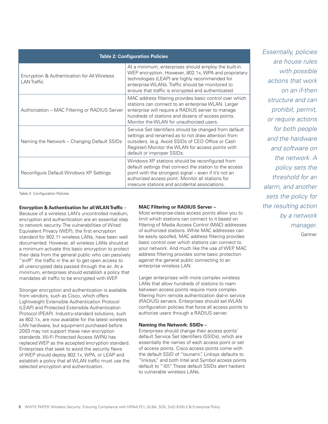| <b>Table 2: Configuration Policies</b>                             |                                                                                                                                                                                                                                                                            |  |
|--------------------------------------------------------------------|----------------------------------------------------------------------------------------------------------------------------------------------------------------------------------------------------------------------------------------------------------------------------|--|
| Encryption & Authentication for All Wireless<br><b>LAN</b> Traffic | At a minimum, enterprises should employ the built-in<br>WEP encryption. However, 802.1x, WPA and proprietary<br>technologies (LEAP) are highly recommended for<br>enterprise WLANs. Traffic should be monitored to<br>ensure that traffic is encrypted and authenticated.  |  |
| Authorization – MAC Filtering or RADIUS Server                     | MAC address filtering provides basic control over which<br>stations can connect to an enterprise WLAN. Larger<br>enterprise will require a RADIUS server to manage<br>hundreds of stations and dozens of access points.<br>Monitor the WLAN for unauthorized users.        |  |
| Naming the Network – Changing Default SSIDs                        | Service Set Identifiers should be changed from default<br>settings and renamed as to not draw attention from<br>outsiders. (e.g. Avoid SSIDs of CEO Office or Cash<br>Register) Monitor the WLAN for access points with<br>default or improper SSIDs.                      |  |
| Reconfigure Default Windows XP Settings                            | Windows XP stations should be reconfigured from<br>default settings that connect the station to the access<br>point with the strongest signal - even if it's not an<br>authorized access point. Monitor all stations for<br>insecure stations and accidental associations. |  |

Table 2: Configuration Policies

#### **Encryption & Authentication for all WLAN Traffic** –

Because of a wireless LAN's uncontrolled medium, encryption and authentication are an essential step to network security. The vulnerabilities of Wired Equivalent Privacy (WEP), the first encryption standard for 802.11 wireless LANs, have been well documented. However, all wireless LANs should at a minimum activate this basic encryption to protect their data from the general public who can passively "sniff" the traffic in the air to get open access to all unencrypted data passed through the air. At a minimum, enterprises should establish a policy that mandates all traffic to be encrypted with WEP.

Stronger encryption and authentication is available from vendors, such as Cisco, which offers Lightweight Extensible Authentication Protocol (LEAP) and Protected Extensible Authentication Protocol (PEAP). Industry-standard solutions, such as 802.1x, are now available for the latest wireless LAN hardware, but equipment purchased before 2003 may not support these new encryption standards. Wi-Fi Protected Access (WPA) has replaced WEP as the accepted encryption standard. Enterprises that seek to avoid the security flaws of WEP should deploy 802.1x, WPA, or LEAP and establish a policy that all WLAN traffic must use the selected encryption and authentication.

#### **MAC Filtering or RADIUS Server –**

Most enterprise-class access points allow you to limit which stations can connect to it based on filtering of Media Access Control (MAC) addresses of authorized stations. While MAC addresses can be easily spoofed, MAC address filtering provides basic control over which stations can connect to your network. And much like the use of WEP, MAC address filtering provides some basic protection against the general public connecting to an enterprise wireless LAN.

Larger enterprises with more complex wireless LANs that allow hundreds of stations to roam between access points require more complex filtering from remote authentication dial-in service (RADIUS) servers. Enterprises should set WLAN configuration policies that force all access points to authorize users through a RADIUS server.

#### **Naming the Network: SSIDs –**

Enterprises should change their access points' default Service Set Identifiers (SSIDs), which are essentially the names of each access point or set of access points. Cisco access points come with the default SSID of "tsunami", Linksys defaults to "linksys," and both Intel and Symbol access points default to "101." These default SSIDs alert hackers to vulnerable wireless LANs.

Essentially, policies are house rules with possible actions that work on an if-then structure and can prohibit, permit, or require actions for both people and the hardware and software on the network. A policy sets the threshold for an alarm, and another sets the policy for the resulting action by a network manager. Gartner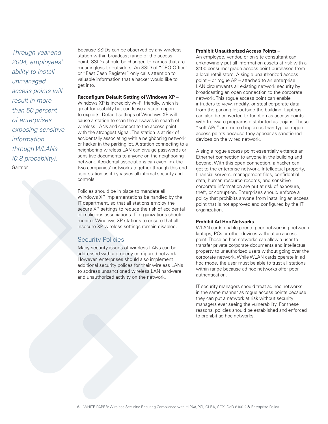Through year-end 2004, employees' ability to install unmanaged access points will result in more than 50 percent of enterprises exposing sensitive information through WLANs (0.8 probability). **Gartner** 

Because SSIDs can be observed by any wireless station within broadcast range of the access point, SSIDs should be changed to names that are meaningless to outsiders. An SSID of "CEO Office" or "East Cash Register" only calls attention to valuable information that a hacker would like to get into.

**Reconfigure Default Setting of Windows XP** – Windows XP is incredibly Wi-Fi friendly, which is great for usability but can leave a station open to exploits. Default settings of Windows XP will cause a station to scan the airwaves in search of wireless LANs and connect to the access point with the strongest signal. The station is at risk of accidentally associating with a neighboring network or hacker in the parking lot. A station connecting to a neighboring wireless LAN can divulge passwords or sensitive documents to anyone on the neighboring network. Accidental associations can even link the two companies' networks together through this end user station as it bypasses all internal security and controls.

Policies should be in place to mandate all Windows XP implementations be handled by the IT department, so that all stations employ the secure XP settings to reduce the risk of accidental or malicious associations. IT organizations should monitor Windows XP stations to ensure that all insecure XP wireless settings remain disabled.

## Security Policies

Many security issues of wireless LANs can be addressed with a properly configured network. However, enterprises should also implement additional security polices for their wireless LANs to address unsanctioned wireless LAN hardware and unauthorized activity on the network.

#### **Prohibit Unauthorized Access Points** –

An employee, vendor, or on-site consultant can unknowingly put all information assets at risk with a \$100 consumer-grade access point purchased from a local retail store. A single unauthorized access point – or rogue AP – attached to an enterprise LAN circumvents all existing network security by broadcasting an open connection to the corporate network. This rogue access point can enable intruders to view, modify, or steal corporate data from the parking lot outside the building. Laptops can also be converted to function as access points with freeware programs distributed as trojans. These "soft APs" are more dangerous than typical rogue access points because they appear as sanctioned devices on the wired network.

A single rogue access point essentially extends an Ethernet connection to anyone in the building and beyond. With this open connection, a hacker can get to the enterprise network. Intellectual property, financial servers, management files, confidential data, human resource records, and sensitive corporate information are put at risk of exposure, theft, or corruption. Enterprises should enforce a policy that prohibits anyone from installing an access point that is not approved and configured by the IT organization.

#### **Prohibit Ad Hoc Networks** –

WLAN cards enable peer-to-peer networking between laptops, PCs or other devices without an access point. These ad hoc networks can allow a user to transfer private corporate documents and intellectual property to unauthorized users without going over the corporate network. While WLAN cards operate in ad hoc mode, the user must be able to trust all stations within range because ad hoc networks offer poor authentication.

IT security managers should treat ad hoc networks in the same manner as rogue access points because they can put a network at risk without security managers ever seeing the vulnerability. For these reasons, policies should be established and enforced to prohibit ad hoc networks.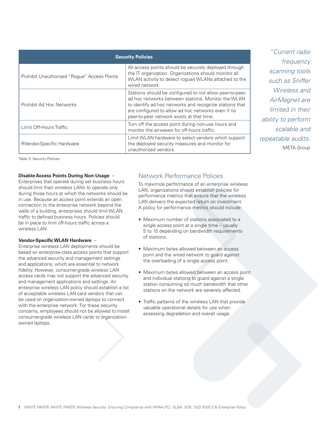| <b>Security Policies</b>                    |                                                                                                                                                                                                                                                                              |  |
|---------------------------------------------|------------------------------------------------------------------------------------------------------------------------------------------------------------------------------------------------------------------------------------------------------------------------------|--|
| Prohibit Unauthorized "Rogue" Access Points | All access points should be securely deployed through<br>the IT organization. Organizations should monitor all<br>WLAN activity to detect rogues WLANs attached to the<br>wired network.                                                                                     |  |
| Prohibit Ad Hoc Networks                    | Stations should be configured to not allow peer-to-peer,<br>ad hoc networks between stations. Monitor the WLAN<br>to identify ad hoc networks and recognize stations that<br>are configured to allow ad hoc networks even if no<br>peer-to-peer network exists at that time. |  |
| Limit Off-Hours Traffic                     | Turn off the access point during non-use hours and<br>monitor the airwaves for off-hours traffic.                                                                                                                                                                            |  |
| <b>RVendor-Specific Hardware</b>            | Limit WLAN hardware to select vendors which support<br>the deployed security measures and monitor for<br>unauthorized vendors.                                                                                                                                               |  |

"Current radio frequency scanning tools such as Sniffer Wireless and AirMagnet are limited in their ability to perform scalable and repeatable audits. META Group

Table 3: Security Policies

#### **Disable Access Points During Non-Usage** –

Enterprises that operate during set business hours should limit their wireless LANs to operate only during those hours at which the networks should be in use. Because an access point extends an open connection to the enterprise network beyond the walls of a building, enterprises should limit WLAN traffic to defined business hours. Policies should be in place to limit off-hours traffic across a wireless LAN.

#### **Vendor-Specific WLAN Hardware** –

Enterprise wireless LAN deployments should be based on enterprise-class access points that support the advanced security and management settings and applications, which are essential to network fidelity. However, consumer-grade wireless LAN access cards may not support the advanced security and management applications and settings. An enterprise wireless LAN policy should establish a list of acceptable wireless LAN card vendors that can be used on organization-owned laptops to connect with the enterprise network. For these security concerns, employees should not be allowed to install consumer-grade wireless LAN cards to organizationowned laptops.

## Network Performance Polices

To maximize performance of an enterprise wireless LAN, organizations should establish policies for performance metrics that ensure that the wireless LAN delivers the expected return on investment. A policy for performance metrics should include:

- Maximum number of stations associated to a single access point at a single time – usually 5 to 15 depending on bandwidth requirements of stations.
- Maximum bytes allowed between an access point and the wired network to guard against the overloading of a single access point.
- Maximum bytes allowed between an access point and individual stations to guard against a single station consuming so much bandwidth that other stations on the network are severely affected.
- Traffic patterns of the wireless LAN that provide valuable operational details for use when assessing degradation and overall usage.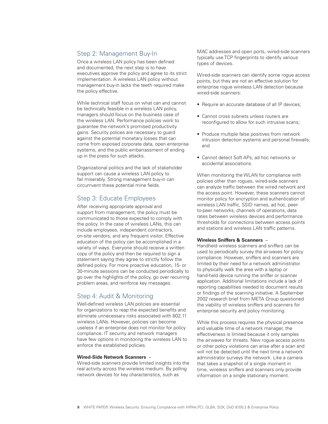## Step 2: Management Buy-In

Once a wireless LAN policy has been defined and documented, the next step is to have executives approve the policy and agree to its strict implementation. A wireless LAN policy without management buy-in lacks the teeth required make the policy effective.

While technical staff focus on what can and cannot be technically feasible in a wireless LAN policy, managers should focus on the business case of the wireless LAN. Performance policies work to guarantee the network's promised productivity gains. Security polices are necessary to guard against the potential monetary losses that can come from exposed corporate data, open enterprise systems, and the public embarrassment of ending up in the press for such attacks.

Organizational politics and the lack of stakeholder support can cause a wireless LAN policy to fail miserably. Strong management buy-in can circumvent these potential mine fields.

## Step 3: Educate Employees

After receiving appropriate approval and support from management, the policy must be communicated to those expected to comply with the policy. In the case of wireless LANs, this can include employees, independent contractors, on-site vendors, and any frequent visitor. Effective education of the policy can be accomplished in a variety of ways. Everyone should receive a written copy of the policy and then be required to sign a statement saying they agree to strictly follow the defined policy. For more proactive education, 15- or 30-minute sessions can be conducted periodically to go over the highlights of the policy, go over recurring problem areas, and reinforce key messages.

## Step 4: Audit & Monitoring

Well-defined wireless LAN policies are essential for organizations to reap the expected benefits and eliminate unnecessary risks associated with 802.11 wireless LANs. However, policies can become useless if an enterprise does not monitor for policy compliance. IT security and network managers have few options in monitoring the wireless LAN to enforce the established policies.

#### **Wired-Side Network Scanners** –

Wired-side scanners provide limited insights into the real activity across the wireless medium. By polling network devices for key characteristics, such as

MAC addresses and open ports, wired-side scanners typically use TCP fingerprints to identify various types of devices.

Wired-side scanners can identify some roque access points, but they are not an effective solution for enterprise rogue wireless LAN detection because wired-side scanners:

- Require an accurate database of all IP devices;
- Cannot cross subnets unless routers are reconfigured to allow for such intrusive scans;
- Produce multiple false positives from network intrusion detection systems and personal firewalls; and
- Cannot detect Soft APs, ad hoc networks or accidental associations.

When monitoring the WLAN for compliance with policies other than rogues, wired-side scanners can analyze traffic between the wired network and the access point. However, these scanners cannot monitor policy for encryption and authentication of wireless LAN traffic, SSID names, ad hoc, peerto-peer networks, channels of operations, data rates between wireless devices and performance thresholds for connections between access points and stations and wireless LAN traffic patterns.

#### **Wireless Sniffers & Scanners** –

Handheld wireless scanners and sniffers can be used to periodically survey the airwaves for policy compliance. However, sniffers and scanners are limited by their need for a network administrator to physically walk the area with a laptop or hand-held device running the sniffer or scanner application. Additional limitations include a lack of reporting capabilities needed to document results or findings of the scanning initiative. A September 2002 research brief from META Group questioned the viability of wireless sniffers and scanners for enterprise security and policy monitoring.

While this process requires the physical presence and valuable time of a network manager, the effectiveness is limited because it only samples the airwaves for threats. New rogue access points or other policy violations can arise after a scan and will not be detected until the next time a network administrator surveys the network. Like a camera that takes a snapshot of a single moment in time, wireless sniffers and scanners only provide information on a single stationary moment.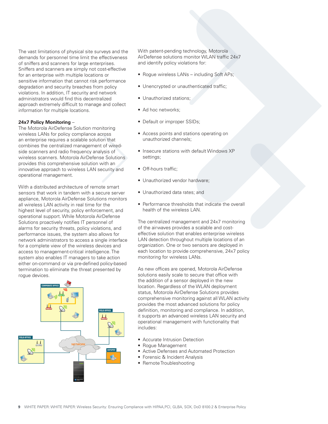The vast limitations of physical site surveys and the demands for personnel time limit the effectiveness of sniffers and scanners for large enterprises. Sniffers and scanners are simply not cost-effective for an enterprise with multiple locations or sensitive information that cannot risk performance degradation and security breaches from policy violations. In addition, IT security and network administrators would find this decentralized approach extremely difficult to manage and collect information for multiple locations.

#### **24x7 Policy Monitoring** –

The Motorola AirDefense Solution monitoring wireless LANs for policy compliance across an enterprise requires a scalable solution that combines the centralized management of wiredside scanners and radio frequency analysis of wireless scanners. Motorola AirDefense Solutions provides this comprehensive solution with an innovative approach to wireless LAN security and operational management.

With a distributed architecture of remote smart sensors that work in tandem with a secure server appliance, Motorola AirDefense Solutions monitors all wireless LAN activity in real time for the highest level of security, policy enforcement, and operational support. While Motorola AirDefense Solutions proactively notifies IT personnel of alarms for security threats, policy violations, and performance issues, the system also allows for network administrators to access a single interface for a complete view of the wireless devices and access to management-critical intelligence. The system also enables IT managers to take action either on-command or via pre-defined policy-based termination to eliminate the threat presented by roque devices.



With patent-pending technology, Motorola AirDefense solutions monitor WLAN traffic 24x7 and identify policy violations for:

- Rogue wireless LANs including Soft APs;
- Unencrypted or unauthenticated traffic;
- Unauthorized stations;
- Ad hoc networks:
- Default or improper SSIDs;
- Access points and stations operating on unauthorized channels;
- Insecure stations with default Windows XP settings;
- Off-hours traffic;
- Unauthorized vendor hardware;
- Unauthorized data rates; and
- Performance thresholds that indicate the overall health of the wireless LAN.

The centralized management and 24x7 monitoring of the airwaves provides a scalable and costeffective solution that enables enterprise wireless LAN detection throughout multiple locations of an organization. One or two sensors are deployed in each location to provide comprehensive, 24x7 policy monitoring for wireless LANs.

As new offices are opened, Motorola AirDefense solutions easily scale to secure that office with the addition of a sensor deployed in the new location. Regardless of the WLAN deployment status, Motorola AirDefense Solutions provides comprehensive monitoring against all WLAN activity provides the most advanced solutions for policy definition, monitoring and compliance. In addition, it supports an advanced wireless LAN security and operational management with functionality that includes:

- Accurate Intrusion Detection
- Rogue Management
- Active Defenses and Automated Protection
- Forensic & Incident Analysis
- Remote Troubleshooting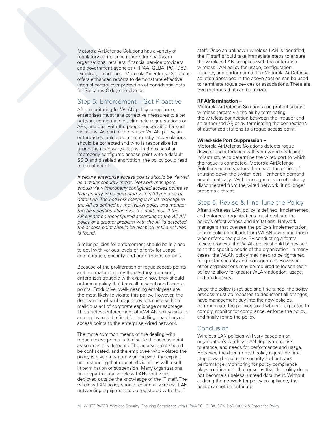Motorola AirDefense Solutions has a variety of regulatory compliance reports for healthcare organizations, retailers, financial service providers and government agencies (HIPAA, GLBA, PCI, DoD Directive). In addition, Motorola AirDefense Solutions offers enhanced reports to demonstrate effective internal control over protection of confidential data for Sarbanes-Oxley compliance.

## Step 5: Enforcement – Get Proactive

After monitoring for WLAN policy compliance, enterprises must take corrective measures to alter network configurations, eliminate rogue stations or APs, and deal with the people responsible for such violations. As part of the written WLAN policy, an enterprise should document exactly how violations should be corrected and who is responsible for taking the necessary actions. In the case of an improperly configured access point with a default SSID and disabled encryption, the policy could read to the effect of:

Insecure enterprise access points should be viewed as a major security threat. Network managers should view improperly configured access points as high priority to be corrected within 30 minutes of detection. The network manager must reconfigure the AP as defined by the WLAN policy and monitor the AP's configuration over the next hour. If the AP cannot be reconfigured according to the WLAN policy or a greater problem with the AP is detected, the access point should be disabled until a solution is found.

Similar policies for enforcement should be in place to deal with various levels of priority for usage, configuration, security, and performance policies.

Because of the proliferation of rogue access points and the major security threats they represent, enterprises struggle with exactly how they should enforce a policy that bans all unsanctioned access points. Productive, well-meaning employees are the most likely to violate this policy. However, the deployment of such rogue devices can also be a malicious act of corporate espionage or sabotage. The strictest enforcement of a WLAN policy calls for an employee to be fired for installing unauthorized access points to the enterprise wired network.

The more common means of the dealing with rogue access points is to disable the access point as soon as it is detected. The access point should be confiscated, and the employee who violated the policy is given a written warning with the explicit understanding that repeated violations will result in termination or suspension. Many organizations find departmental wireless LANs that were deployed outside the knowledge of the IT staff. The wireless LAN policy should require all wireless LAN networking equipment to be registered with the IT

staff. Once an unknown wireless LAN is identified, the IT staff should take immediate steps to ensure the wireless LAN complies with the enterprise wireless LAN policy for usage, configuration, security, and performance. The Motorola AirDefense solution described in the above section can be used to terminate rogue devices or associations. There are two methods that can be utilized

#### **RF AirTermination –**

Motorola AirDefense Solutions can protect against wireless threats via the air by terminating the wireless connection between the intruder and an authorized AP, or by terminating the connections of authorized stations to a rogue access point.

#### **Wired-side Port Suppression –**

Motorola AirDefense Solutions detects rogue devices and interfaces with your wired switching infrastructure to determine the wired port to which the rogue is connected. Motorola AirDefense Solutions administrators then have the option of shutting down the switch port – either on demand or automatically. With the rogue device effectively disconnected from the wired network, it no longer presents a threat.

## Step 6: Revise & Fine-Tune the Policy

After a wireless LAN policy is defined, implemented, and enforced, organizations must evaluate the policy's effectiveness and limitations. Network managers that oversee the policy's implementation should solicit feedback from WLAN users and those who enforce the policy. By conducting a formal review process, the WLAN policy should be revised to fit the specific needs of the organization. In many cases, the WLAN policy may need to be tightened for greater security and management. However, other organizations may be required to loosen their policy to allow for greater WLAN adoption, usage, and productivity.

Once the policy is revised and fine-tuned, the policy process must be repeated to document all changes, have management buy-into the new policies, communicate the policies to all who are expected to comply, monitor for compliance, enforce the policy, and finally refine the policy.

## **Conclusion**

Wireless LAN policies will vary based on an organization's wireless LAN deployment, risk tolerance, and needs for performance and usage. However, the documented policy is just the first step toward maximum security and network performance. Monitoring for policy compliance plays a critical role that ensures that the policy does not become a useless, unread document. Without auditing the network for policy compliance, the policy cannot be enforced.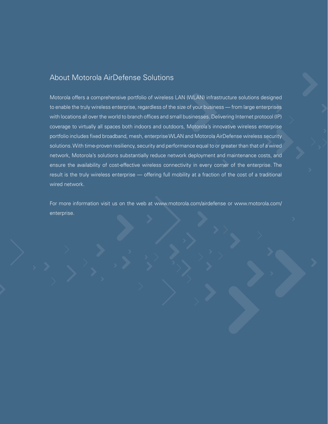# About Motorola AirDefense Solutions

Motorola offers a comprehensive portfolio of wireless LAN (WLAN) infrastructure solutions designed to enable the truly wireless enterprise, regardless of the size of your business — from large enterprises with locations all over the world to branch offices and small businesses. Delivering Internet protocol (IP) coverage to virtually all spaces both indoors and outdoors, Motorola's innovative wireless enterprise portfolio includes fixed broadband, mesh, enterprise WLAN and Motorola AirDefense wireless security solutions. With time-proven resiliency, security and performance equal to or greater than that of a wired network, Motorola's solutions substantially reduce network deployment and maintenance costs, and ensure the availability of cost-effective wireless connectivity in every corner of the enterprise. The result is the truly wireless enterprise — offering full mobility at a fraction of the cost of a traditional wired network.

For more information visit us on the web at www.motorola.com/airdefense or www.motorola.com/ enterprise.